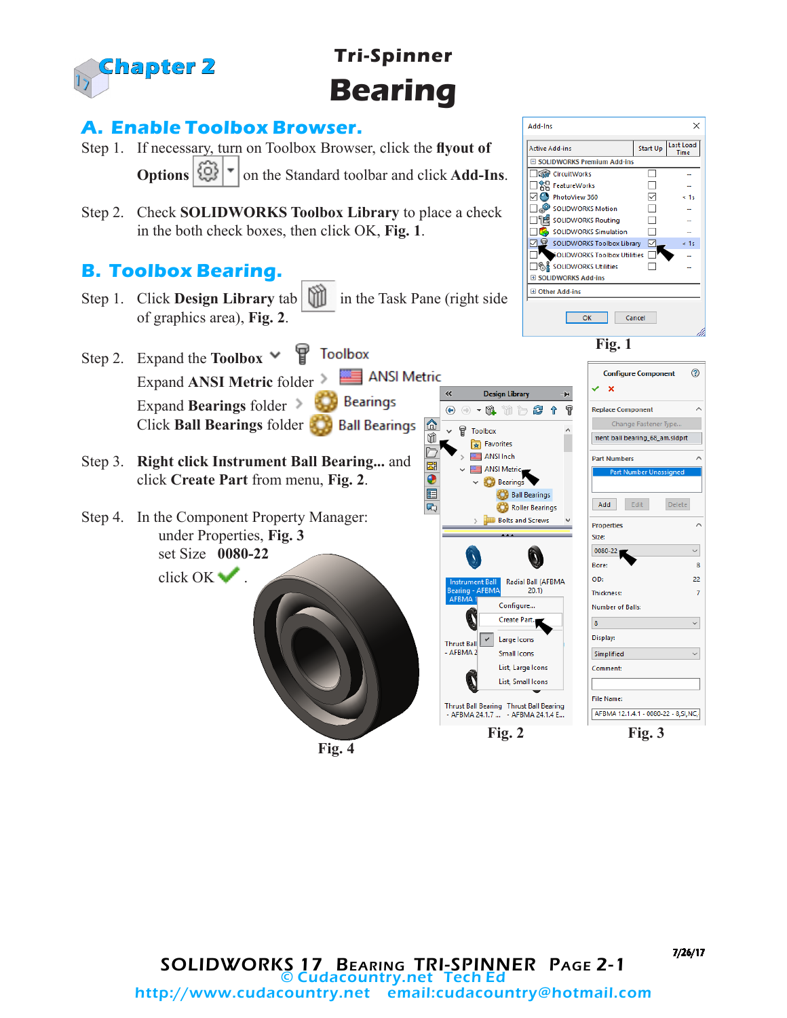

# **Tri-Spinner Bearing**

鶣

 $\bullet$ E

#### **A. Enable Toolbox Browser.**

- Step 1. If necessary, turn on Toolbox Browser, click the **flyout of Options**  $\left|\frac{QQ}{Q}\right|$  | on the Standard toolbar and click **Add-Ins**.
- Step 2. Check **SOLIDWORKS Toolbox Library** to place a check in the both check boxes, then click OK, **Fig. 1**.

### **B. Toolbox Bearing.**

- Step 1. Click **Design Library** tab **in** in the Task Pane (right side of graphics area), **Fig. 2**.
- Step 2. Expand the **Toolbox Toolbox** ANSI Metric Expand **ANSI Metric** folder Expand **Bearings** folder **Bearings** Click **Ball Bearings** folder
- Step 3. **Right click Instrument Ball Bearing...** and click **Create Part** from menu, **Fig. 2**.
- Step 4. In the Component Property Manager: under Properties, **Fig. 3** set Size **0080-22**

click OK .

**Fig. 4**



7/26/17

 $\times$ 

 $\leq 1s$ 

ù.

 $\leq 1s$ 

 $\odot$ 

 $\lambda$ 

 $\overline{\mathbf{8}}$ 

 $\overline{22}$ 

 $\overline{7}$ 

 $\vee$ 

 $\checkmark$